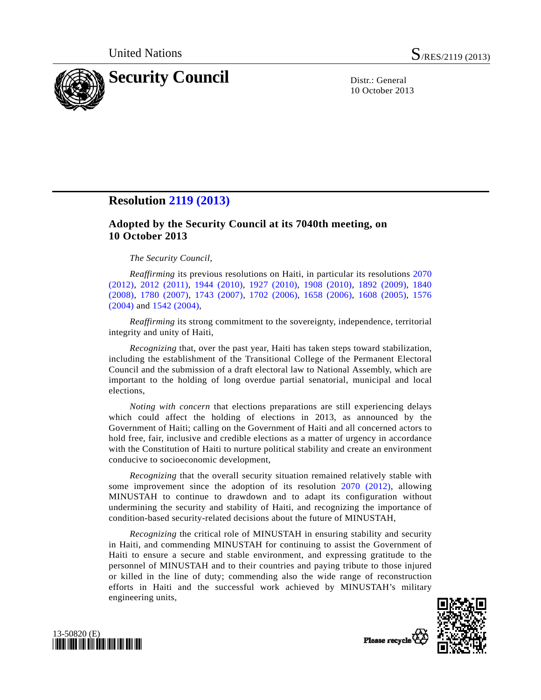

10 October 2013

## **Resolution [2119 \(2013\)](http://undocs.org/S/RES/2119(2013))**

## **Adopted by the Security Council at its 7040th meeting, on 10 October 2013**

## *The Security Council*,

*Reaffirming* its previous resolutions on Haiti, in particular its resolutions [2070](http://undocs.org/S/RES/2070(2012))  [\(2012\),](http://undocs.org/S/RES/2070(2012)) [2012 \(2011\)](http://undocs.org/S/RES/2012(2011)), [1944 \(2010\),](http://undocs.org/S/RES/1944(2010)) [1927 \(2010\),](http://undocs.org/S/RES/1927(2010)) [1908 \(2010\)](http://undocs.org/S/RES/1908(2010)), [1892 \(2009\)](http://undocs.org/S/RES/1892(2009)), [1840](http://undocs.org/S/RES/1840(2008))  [\(2008\),](http://undocs.org/S/RES/1840(2008)) [1780 \(2007\)](http://undocs.org/S/RES/1780(2007)), [1743 \(2007\)](http://undocs.org/S/RES/1743(2007)), [1702 \(2006\),](http://undocs.org/S/RES/1702(2006)) [1658 \(2006\)](http://undocs.org/S/RES/1658(2006)), [1608 \(2005\)](http://undocs.org/S/RES/1608(2005)), [1576](http://undocs.org/S/RES/1576(2004))  [\(2004\)](http://undocs.org/S/RES/1576(2004)) and [1542 \(2004\),](http://undocs.org/S/RES/1542(2004))

*Reaffirming* its strong commitment to the sovereignty, independence, territorial integrity and unity of Haiti,

*Recognizing* that, over the past year, Haiti has taken steps toward stabilization, including the establishment of the Transitional College of the Permanent Electoral Council and the submission of a draft electoral law to National Assembly, which are important to the holding of long overdue partial senatorial, municipal and local elections,

*Noting with concern* that elections preparations are still experiencing delays which could affect the holding of elections in 2013, as announced by the Government of Haiti; calling on the Government of Haiti and all concerned actors to hold free, fair, inclusive and credible elections as a matter of urgency in accordance with the Constitution of Haiti to nurture political stability and create an environment conducive to socioeconomic development,

*Recognizing* that the overall security situation remained relatively stable with some improvement since the adoption of its resolution [2070 \(2012\)](http://undocs.org/S/RES/2070(2012)), allowing MINUSTAH to continue to drawdown and to adapt its configuration without undermining the security and stability of Haiti, and recognizing the importance of condition-based security-related decisions about the future of MINUSTAH,

*Recognizing* the critical role of MINUSTAH in ensuring stability and security in Haiti, and commending MINUSTAH for continuing to assist the Government of Haiti to ensure a secure and stable environment, and expressing gratitude to the personnel of MINUSTAH and to their countries and paying tribute to those injured or killed in the line of duty; commending also the wide range of reconstruction efforts in Haiti and the successful work achieved by MINUSTAH's military engineering units,



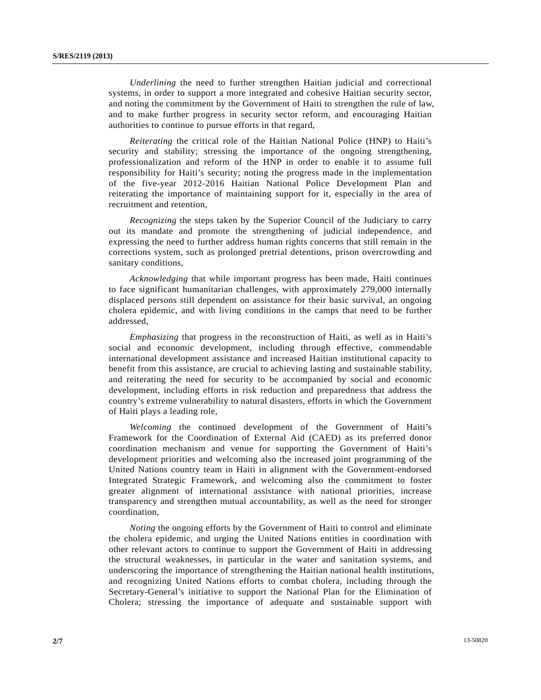*Underlining* the need to further strengthen Haitian judicial and correctional systems, in order to support a more integrated and cohesive Haitian security sector, and noting the commitment by the Government of Haiti to strengthen the rule of law, and to make further progress in security sector reform, and encouraging Haitian authorities to continue to pursue efforts in that regard,

*Reiterating* the critical role of the Haitian National Police (HNP) to Haiti's security and stability; stressing the importance of the ongoing strengthening, professionalization and reform of the HNP in order to enable it to assume full responsibility for Haiti's security; noting the progress made in the implementation of the five-year 2012-2016 Haitian National Police Development Plan and reiterating the importance of maintaining support for it, especially in the area of recruitment and retention,

*Recognizing* the steps taken by the Superior Council of the Judiciary to carry out its mandate and promote the strengthening of judicial independence, and expressing the need to further address human rights concerns that still remain in the corrections system, such as prolonged pretrial detentions, prison overcrowding and sanitary conditions,

*Acknowledging* that while important progress has been made, Haiti continues to face significant humanitarian challenges, with approximately 279,000 internally displaced persons still dependent on assistance for their basic survival, an ongoing cholera epidemic, and with living conditions in the camps that need to be further addressed,

*Emphasizing* that progress in the reconstruction of Haiti, as well as in Haiti's social and economic development, including through effective, commendable international development assistance and increased Haitian institutional capacity to benefit from this assistance, are crucial to achieving lasting and sustainable stability, and reiterating the need for security to be accompanied by social and economic development, including efforts in risk reduction and preparedness that address the country's extreme vulnerability to natural disasters, efforts in which the Government of Haiti plays a leading role,

*Welcoming* the continued development of the Government of Haiti's Framework for the Coordination of External Aid (CAED) as its preferred donor coordination mechanism and venue for supporting the Government of Haiti's development priorities and welcoming also the increased joint programming of the United Nations country team in Haiti in alignment with the Government-endorsed Integrated Strategic Framework, and welcoming also the commitment to foster greater alignment of international assistance with national priorities, increase transparency and strengthen mutual accountability, as well as the need for stronger coordination,

*Noting* the ongoing efforts by the Government of Haiti to control and eliminate the cholera epidemic, and urging the United Nations entities in coordination with other relevant actors to continue to support the Government of Haiti in addressing the structural weaknesses, in particular in the water and sanitation systems, and underscoring the importance of strengthening the Haitian national health institutions, and recognizing United Nations efforts to combat cholera, including through the Secretary-General's initiative to support the National Plan for the Elimination of Cholera; stressing the importance of adequate and sustainable support with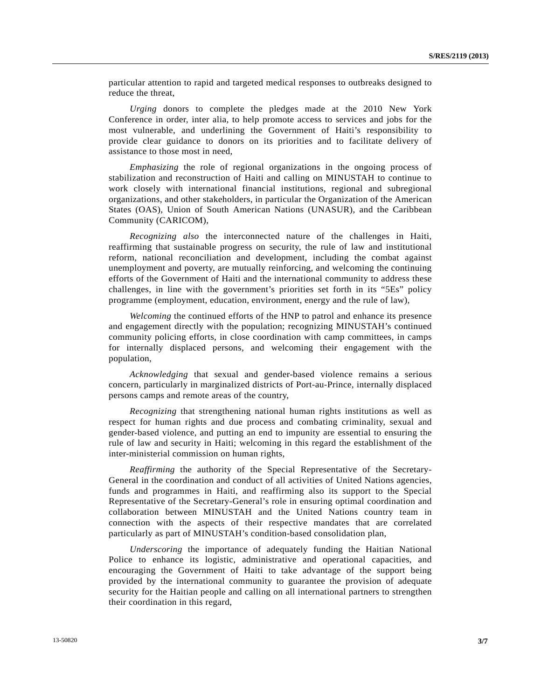particular attention to rapid and targeted medical responses to outbreaks designed to reduce the threat,

*Urging* donors to complete the pledges made at the 2010 New York Conference in order, inter alia, to help promote access to services and jobs for the most vulnerable, and underlining the Government of Haiti's responsibility to provide clear guidance to donors on its priorities and to facilitate delivery of assistance to those most in need,

*Emphasizing* the role of regional organizations in the ongoing process of stabilization and reconstruction of Haiti and calling on MINUSTAH to continue to work closely with international financial institutions, regional and subregional organizations, and other stakeholders, in particular the Organization of the American States (OAS), Union of South American Nations (UNASUR), and the Caribbean Community (CARICOM),

*Recognizing also* the interconnected nature of the challenges in Haiti, reaffirming that sustainable progress on security, the rule of law and institutional reform, national reconciliation and development, including the combat against unemployment and poverty, are mutually reinforcing, and welcoming the continuing efforts of the Government of Haiti and the international community to address these challenges, in line with the government's priorities set forth in its "5Es" policy programme (employment, education, environment, energy and the rule of law),

*Welcoming* the continued efforts of the HNP to patrol and enhance its presence and engagement directly with the population; recognizing MINUSTAH's continued community policing efforts, in close coordination with camp committees, in camps for internally displaced persons, and welcoming their engagement with the population,

*Acknowledging* that sexual and gender-based violence remains a serious concern, particularly in marginalized districts of Port-au-Prince, internally displaced persons camps and remote areas of the country,

*Recognizing* that strengthening national human rights institutions as well as respect for human rights and due process and combating criminality, sexual and gender-based violence, and putting an end to impunity are essential to ensuring the rule of law and security in Haiti; welcoming in this regard the establishment of the inter-ministerial commission on human rights,

*Reaffirming* the authority of the Special Representative of the Secretary-General in the coordination and conduct of all activities of United Nations agencies, funds and programmes in Haiti, and reaffirming also its support to the Special Representative of the Secretary-General's role in ensuring optimal coordination and collaboration between MINUSTAH and the United Nations country team in connection with the aspects of their respective mandates that are correlated particularly as part of MINUSTAH's condition-based consolidation plan,

*Underscoring* the importance of adequately funding the Haitian National Police to enhance its logistic, administrative and operational capacities, and encouraging the Government of Haiti to take advantage of the support being provided by the international community to guarantee the provision of adequate security for the Haitian people and calling on all international partners to strengthen their coordination in this regard,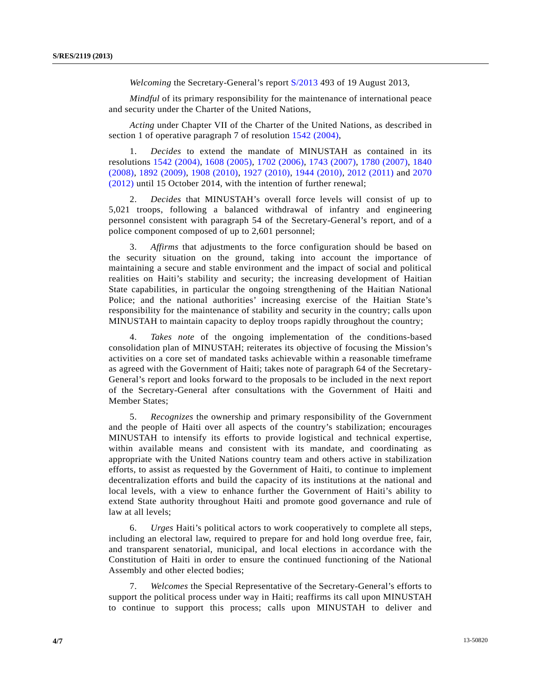*Welcoming* the Secretary-General's report [S/2013](http://undocs.org/S/2013) 493 of 19 August 2013,

*Mindful* of its primary responsibility for the maintenance of international peace and security under the Charter of the United Nations,

*Acting* under Chapter VII of the Charter of the United Nations, as described in section 1 of operative paragraph 7 of resolution [1542 \(2004\),](http://undocs.org/S/RES/1542(2004))

 1. *Decides* to extend the mandate of MINUSTAH as contained in its resolutions [1542 \(2004\),](http://undocs.org/S/RES/1542(2004)) [1608 \(2005\)](http://undocs.org/S/RES/1608(2005)), [1702 \(2006\)](http://undocs.org/S/RES/1702(2006)), [1743 \(2007\),](http://undocs.org/S/RES/1743(2007)) [1780 \(2007\),](http://undocs.org/S/RES/1780(2007)) [1840](http://undocs.org/S/RES/1840(2008))  [\(2008\),](http://undocs.org/S/RES/1840(2008)) [1892 \(2009\),](http://undocs.org/S/RES/1892(2009)) [1908 \(2010\),](http://undocs.org/S/RES/1908(2010)) [1927 \(2010\)](http://undocs.org/S/RES/1927(2010)), [1944 \(2010\)](http://undocs.org/S/RES/1944(2010)), [2012 \(2011\)](http://undocs.org/S/RES/2012(2011)) and [2070](http://undocs.org/S/RES/2070(2012))  [\(2012\)](http://undocs.org/S/RES/2070(2012)) until 15 October 2014, with the intention of further renewal;

 2. *Decides* that MINUSTAH's overall force levels will consist of up to 5,021 troops, following a balanced withdrawal of infantry and engineering personnel consistent with paragraph 54 of the Secretary-General's report, and of a police component composed of up to 2,601 personnel;

 3. *Affirms* that adjustments to the force configuration should be based on the security situation on the ground, taking into account the importance of maintaining a secure and stable environment and the impact of social and political realities on Haiti's stability and security; the increasing development of Haitian State capabilities, in particular the ongoing strengthening of the Haitian National Police; and the national authorities' increasing exercise of the Haitian State's responsibility for the maintenance of stability and security in the country; calls upon MINUSTAH to maintain capacity to deploy troops rapidly throughout the country;

 4. *Takes note* of the ongoing implementation of the conditions-based consolidation plan of MINUSTAH; reiterates its objective of focusing the Mission's activities on a core set of mandated tasks achievable within a reasonable timeframe as agreed with the Government of Haiti; takes note of paragraph 64 of the Secretary-General's report and looks forward to the proposals to be included in the next report of the Secretary-General after consultations with the Government of Haiti and Member States;

 5. *Recognizes* the ownership and primary responsibility of the Government and the people of Haiti over all aspects of the country's stabilization; encourages MINUSTAH to intensify its efforts to provide logistical and technical expertise, within available means and consistent with its mandate, and coordinating as appropriate with the United Nations country team and others active in stabilization efforts, to assist as requested by the Government of Haiti, to continue to implement decentralization efforts and build the capacity of its institutions at the national and local levels, with a view to enhance further the Government of Haiti's ability to extend State authority throughout Haiti and promote good governance and rule of law at all levels;

 6. *Urges* Haiti's political actors to work cooperatively to complete all steps, including an electoral law, required to prepare for and hold long overdue free, fair, and transparent senatorial, municipal, and local elections in accordance with the Constitution of Haiti in order to ensure the continued functioning of the National Assembly and other elected bodies;

 7. *Welcomes* the Special Representative of the Secretary-General's efforts to support the political process under way in Haiti; reaffirms its call upon MINUSTAH to continue to support this process; calls upon MINUSTAH to deliver and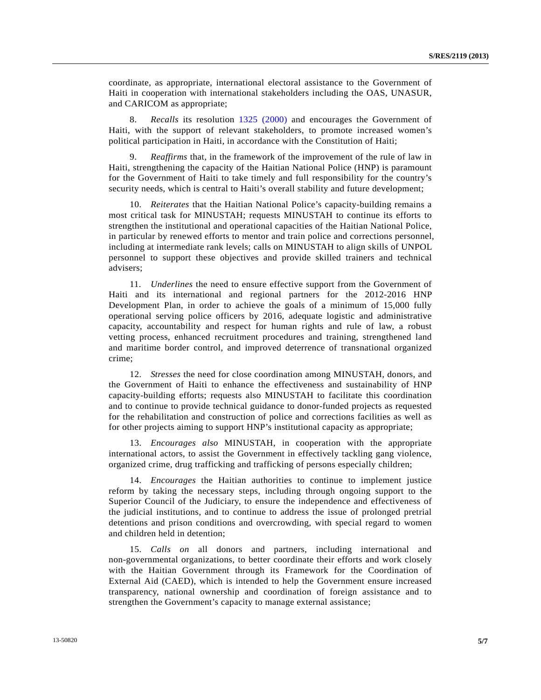coordinate, as appropriate, international electoral assistance to the Government of Haiti in cooperation with international stakeholders including the OAS, UNASUR, and CARICOM as appropriate;

 8. *Recalls* its resolution [1325 \(2000\)](http://undocs.org/S/RES/1325(2000)) and encourages the Government of Haiti, with the support of relevant stakeholders, to promote increased women's political participation in Haiti, in accordance with the Constitution of Haiti;

 9. *Reaffirms* that, in the framework of the improvement of the rule of law in Haiti, strengthening the capacity of the Haitian National Police (HNP) is paramount for the Government of Haiti to take timely and full responsibility for the country's security needs, which is central to Haiti's overall stability and future development;

 10. *Reiterates* that the Haitian National Police's capacity-building remains a most critical task for MINUSTAH; requests MINUSTAH to continue its efforts to strengthen the institutional and operational capacities of the Haitian National Police, in particular by renewed efforts to mentor and train police and corrections personnel, including at intermediate rank levels; calls on MINUSTAH to align skills of UNPOL personnel to support these objectives and provide skilled trainers and technical advisers;

 11. *Underlines* the need to ensure effective support from the Government of Haiti and its international and regional partners for the 2012-2016 HNP Development Plan, in order to achieve the goals of a minimum of 15,000 fully operational serving police officers by 2016, adequate logistic and administrative capacity, accountability and respect for human rights and rule of law, a robust vetting process, enhanced recruitment procedures and training, strengthened land and maritime border control, and improved deterrence of transnational organized crime;

 12. *Stresses* the need for close coordination among MINUSTAH, donors, and the Government of Haiti to enhance the effectiveness and sustainability of HNP capacity-building efforts; requests also MINUSTAH to facilitate this coordination and to continue to provide technical guidance to donor-funded projects as requested for the rehabilitation and construction of police and corrections facilities as well as for other projects aiming to support HNP's institutional capacity as appropriate;

 13. *Encourages also* MINUSTAH, in cooperation with the appropriate international actors, to assist the Government in effectively tackling gang violence, organized crime, drug trafficking and trafficking of persons especially children;

 14. *Encourages* the Haitian authorities to continue to implement justice reform by taking the necessary steps, including through ongoing support to the Superior Council of the Judiciary, to ensure the independence and effectiveness of the judicial institutions, and to continue to address the issue of prolonged pretrial detentions and prison conditions and overcrowding, with special regard to women and children held in detention;

 15. *Calls on* all donors and partners, including international and non-governmental organizations, to better coordinate their efforts and work closely with the Haitian Government through its Framework for the Coordination of External Aid (CAED), which is intended to help the Government ensure increased transparency, national ownership and coordination of foreign assistance and to strengthen the Government's capacity to manage external assistance;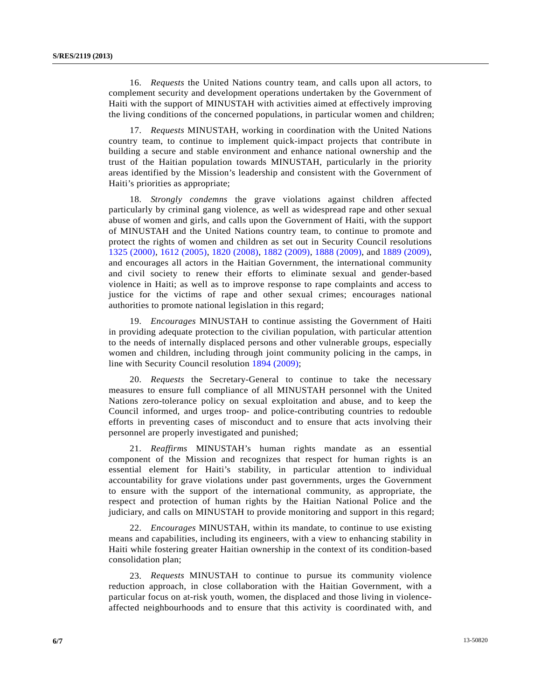16. *Requests* the United Nations country team, and calls upon all actors, to complement security and development operations undertaken by the Government of Haiti with the support of MINUSTAH with activities aimed at effectively improving the living conditions of the concerned populations, in particular women and children;

 17. *Requests* MINUSTAH, working in coordination with the United Nations country team, to continue to implement quick-impact projects that contribute in building a secure and stable environment and enhance national ownership and the trust of the Haitian population towards MINUSTAH, particularly in the priority areas identified by the Mission's leadership and consistent with the Government of Haiti's priorities as appropriate;

 18. *Strongly condemns* the grave violations against children affected particularly by criminal gang violence, as well as widespread rape and other sexual abuse of women and girls, and calls upon the Government of Haiti, with the support of MINUSTAH and the United Nations country team, to continue to promote and protect the rights of women and children as set out in Security Council resolutions [1325 \(2000\),](http://undocs.org/S/RES/1325(2000)) [1612 \(2005\)](http://undocs.org/S/RES/1612(2005)), [1820 \(2008\),](http://undocs.org/S/RES/1820(2008)) [1882 \(2009\)](http://undocs.org/S/RES/1882(2009)), [1888 \(2009\)](http://undocs.org/S/RES/1888(2009)), and [1889 \(2009\)](http://undocs.org/S/RES/1889(2009)), and encourages all actors in the Haitian Government, the international community and civil society to renew their efforts to eliminate sexual and gender-based violence in Haiti; as well as to improve response to rape complaints and access to justice for the victims of rape and other sexual crimes; encourages national authorities to promote national legislation in this regard;

 19. *Encourages* MINUSTAH to continue assisting the Government of Haiti in providing adequate protection to the civilian population, with particular attention to the needs of internally displaced persons and other vulnerable groups, especially women and children, including through joint community policing in the camps, in line with Security Council resolution [1894 \(2009\)](http://undocs.org/S/RES/1894(2009));

 20. *Requests* the Secretary-General to continue to take the necessary measures to ensure full compliance of all MINUSTAH personnel with the United Nations zero-tolerance policy on sexual exploitation and abuse, and to keep the Council informed, and urges troop- and police-contributing countries to redouble efforts in preventing cases of misconduct and to ensure that acts involving their personnel are properly investigated and punished;

 21. *Reaffirms* MINUSTAH's human rights mandate as an essential component of the Mission and recognizes that respect for human rights is an essential element for Haiti's stability, in particular attention to individual accountability for grave violations under past governments, urges the Government to ensure with the support of the international community, as appropriate, the respect and protection of human rights by the Haitian National Police and the judiciary, and calls on MINUSTAH to provide monitoring and support in this regard;

 22. *Encourages* MINUSTAH, within its mandate, to continue to use existing means and capabilities, including its engineers, with a view to enhancing stability in Haiti while fostering greater Haitian ownership in the context of its condition-based consolidation plan;

 23. *Requests* MINUSTAH to continue to pursue its community violence reduction approach, in close collaboration with the Haitian Government, with a particular focus on at-risk youth, women, the displaced and those living in violenceaffected neighbourhoods and to ensure that this activity is coordinated with, and